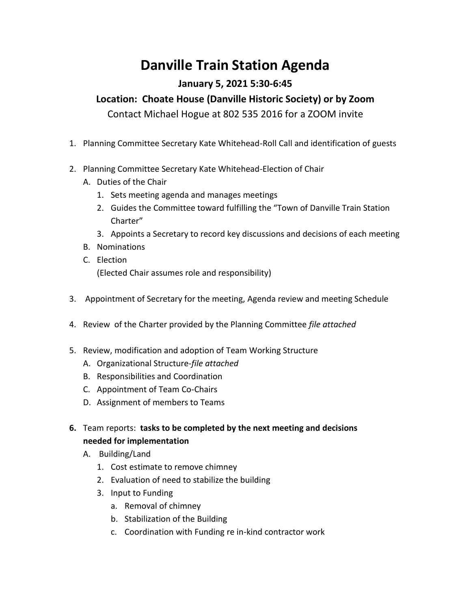## **Danville Train Station Agenda**

## **January 5, 2021 5:30-6:45**

## **Location: Choate House (Danville Historic Society) or by Zoom**

Contact Michael Hogue at 802 535 2016 for a ZOOM invite

- 1. Planning Committee Secretary Kate Whitehead-Roll Call and identification of guests
- 2. Planning Committee Secretary Kate Whitehead-Election of Chair
	- A. Duties of the Chair
		- 1. Sets meeting agenda and manages meetings
		- 2. Guides the Committee toward fulfilling the "Town of Danville Train Station Charter"
		- 3. Appoints a Secretary to record key discussions and decisions of each meeting
	- B. Nominations
	- C. Election (Elected Chair assumes role and responsibility)
- 3. Appointment of Secretary for the meeting, Agenda review and meeting Schedule
- 4. Review of the Charter provided by the Planning Committee *file attached*
- 5. Review, modification and adoption of Team Working Structure
	- A. Organizational Structure-*file attached*
	- B. Responsibilities and Coordination
	- C. Appointment of Team Co-Chairs
	- D. Assignment of members to Teams
- **6.** Team reports: **tasks to be completed by the next meeting and decisions needed for implementation**
	- A. Building/Land
		- 1. Cost estimate to remove chimney
		- 2. Evaluation of need to stabilize the building
		- 3. Input to Funding
			- a. Removal of chimney
			- b. Stabilization of the Building
			- c. Coordination with Funding re in-kind contractor work